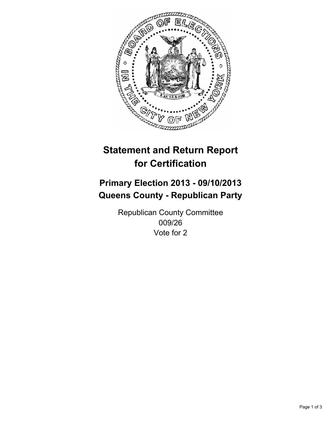

# **Statement and Return Report for Certification**

# **Primary Election 2013 - 09/10/2013 Queens County - Republican Party**

Republican County Committee 009/26 Vote for 2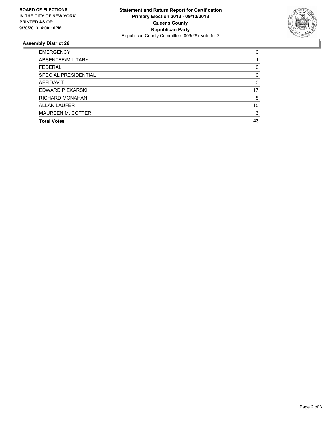

## **Assembly District 26**

| 0        |
|----------|
|          |
| 0        |
| 0        |
| $\Omega$ |
| 17       |
| 8        |
| 15       |
| 3        |
| 43       |
|          |